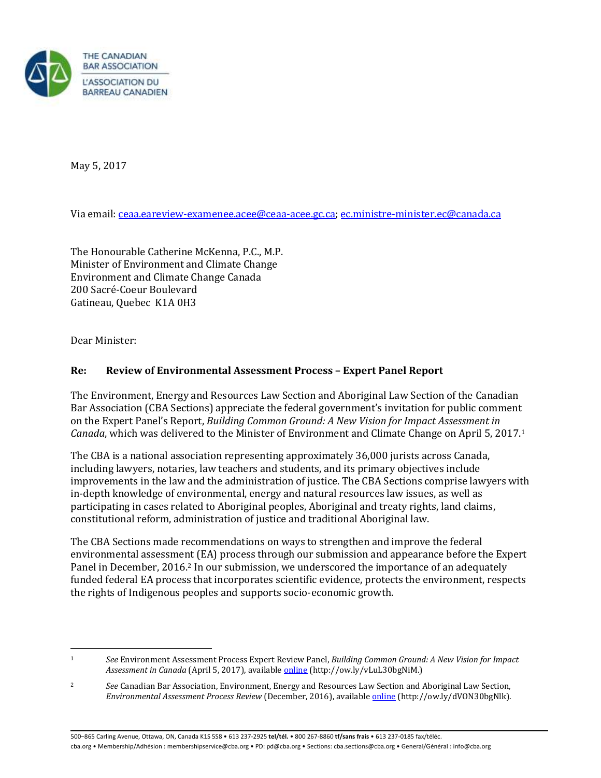

May 5, 2017

Via email: <u>ceaa.eareview-examenee.acee@ceaa-acee.gc.ca; ec.ministre-minister.ec@canada.ca</u><br>The Honourable Catherine McKenna, P.C., M.P.

Minister of Environment and Climate Change Environment and Climate Change Canada 200 Sacré-Coeur Boulevard Gatineau, Quebec K1A 0H3

Dear Minister:

## **Re: Review of Environmental Assessment Process – Expert Panel Report**

The Environment, Energy and Resources Law Section and Aboriginal Law Section of the Canadian Bar Association (CBA Sections) appreciate the federal government's invitation for public comment on the Expert Panel's Report, *Building Common Ground: A New Vision for Impact Assessment in Canada*, which was delivered to the Minister of Environment and Climate Change on April 5, 2017.1

The CBA is a national association representing approximately 36,000 jurists across Canada, including lawyers, notaries, law teachers and students, and its primary objectives include improvements in the law and the administration of justice. The CBA Sections comprise lawyers with in-depth knowledge of environmental, energy and natural resources law issues, as well as participating in cases related to Aboriginal peoples, Aboriginal and treaty rights, land claims, constitutional reform, administration of justice and traditional Aboriginal law.

Panel in December, 2016.<sup>2</sup> In our submission, we underscored the importance of an adequately funded federal EA process that incorporates scientific evidence, protects the environment, respects the rights of Indigenous peoples and supports socio-economic growth. The CBA Sections made recommendations on ways to strengthen and improve the federal environmental assessment (EA) process through our submission and appearance before the Expert

l

<sup>1</sup>*See* Environment Assessment Process Expert Review Panel, *Building Common Ground: A New Vision for Impact Assessment in Canada* (April 5, 2017), availabl[e online](https://www.canada.ca/en/services/environment/conservation/assessments/environmental-reviews/environmental-assessment-processes/building-common-ground.html) (http://ow.ly/vLuL30bgNiM.)

<sup>2</sup>*See* Canadian Bar Association, Environment, Energy and Resources Law Section and Aboriginal Law Section, *Environmental Assessment Process Review* (December, 2016), availabl[e online](https://www.cba.org/CMSPages/GetFile.aspx?guid=87f1338d-4fa8-45a1-ae66-957f88f1731b) (http://ow.ly/dVON30bgNlk).